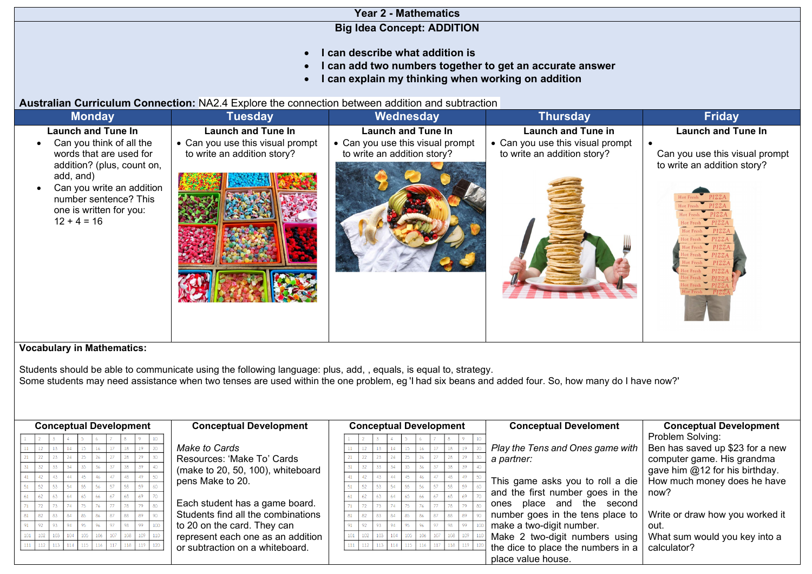| <b>Year 2 - Mathematics</b>                                |
|------------------------------------------------------------|
| <b>Big Idea Concept: ADDITION</b>                          |
|                                                            |
| • I can describe what addition is                          |
| • I can add two numbers together to get an accurate answer |
| • I can explain my thinking when working on addition       |
|                                                            |

**Australian Curriculum Connection:** NA2.4 Explore the connection between addition and subtraction

| <b>Monday</b>                                                                                               | <b>Tuesday</b>                   | Wednesday                        | <b>Thursday</b>                  | <b>Friday</b>                  |
|-------------------------------------------------------------------------------------------------------------|----------------------------------|----------------------------------|----------------------------------|--------------------------------|
| <b>Launch and Tune In</b>                                                                                   | <b>Launch and Tune In</b>        | <b>Launch and Tune In</b>        | <b>Launch and Tune in</b>        | <b>Launch and Tune In</b>      |
| Can you think of all the                                                                                    | • Can you use this visual prompt | • Can you use this visual prompt | • Can you use this visual prompt |                                |
| words that are used for                                                                                     | to write an addition story?      | to write an addition story?      | to write an addition story?      | Can you use this visual prompt |
| addition? (plus, count on,                                                                                  |                                  |                                  |                                  | to write an addition story?    |
| add, and)<br>Can you write an addition<br>number sentence? This<br>one is written for you:<br>$12 + 4 = 16$ |                                  |                                  |                                  |                                |

## **Vocabulary in Mathematics:**

Students should be able to communicate using the following language: plus, add, , equals, is equal to, strategy. Some students may need assistance when two tenses are used within the one problem, eg 'I had six beans and added four. So, how many do I have now?'

| <b>Conceptual Development</b><br><b>Conceptual Development</b> | <b>Conceptual Development</b> |  |  |     |    |     | <b>Conceptual Develoment</b> | <b>Conceptual Development</b>      |                                 |
|----------------------------------------------------------------|-------------------------------|--|--|-----|----|-----|------------------------------|------------------------------------|---------------------------------|
|                                                                |                               |  |  |     |    |     |                              |                                    | Problem Solving:                |
| Make to Cards                                                  |                               |  |  |     |    |     |                              | Play the Tens and Ones game with   | Ben has saved up \$23 for a new |
| Resources: 'Make To' Cards                                     |                               |  |  |     |    |     |                              | a partner:                         | computer game. His grandma      |
| (make to 20, 50, 100), whiteboard                              |                               |  |  |     |    |     |                              |                                    | gave him @12 for his birthday.  |
| pens Make to 20.                                               |                               |  |  |     |    |     |                              | This game asks you to roll a die   | How much money does he have     |
|                                                                |                               |  |  |     |    |     |                              | and the first number goes in the   |                                 |
|                                                                |                               |  |  |     |    |     |                              |                                    | now?                            |
| Each student has a game board.                                 |                               |  |  |     |    |     |                              | ones place and the second          |                                 |
| Students find all the combinations                             |                               |  |  | RA  |    |     |                              | number goes in the tens place to   | Write or draw how you worked it |
| to 20 on the card. They can                                    |                               |  |  |     |    |     |                              | make a two-digit number.           | out.                            |
| 106<br>$102$ 103<br>represent each one as an addition          |                               |  |  | 104 |    |     |                              | Make 2 two-digit numbers using     | What sum would you key into a   |
| 118<br>117<br>115<br>116<br>or subtraction on a whiteboard.    |                               |  |  |     | 15 | 118 |                              | the dice to place the numbers in a | calculator?                     |
|                                                                |                               |  |  |     |    |     |                              | place value house.                 |                                 |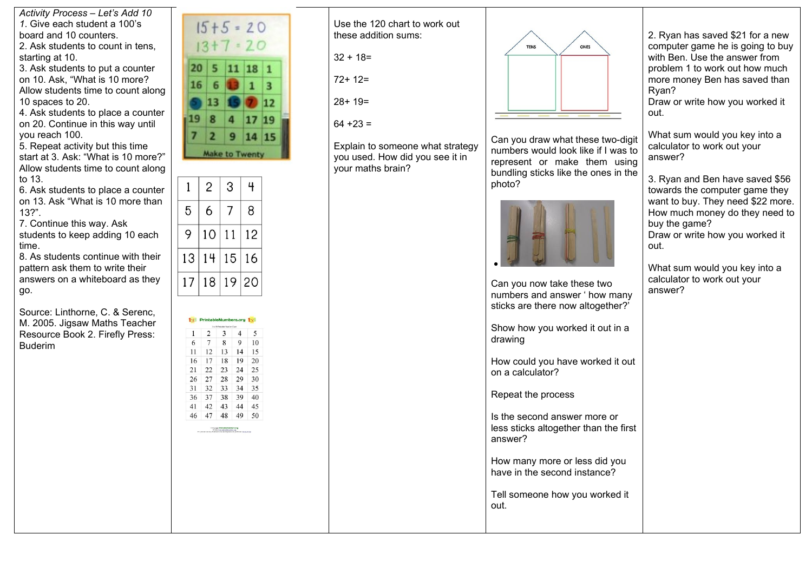*Activity Process – Let's Add 10 1*. Give each student a 100's board and 10 counters. 2. Ask students to count in tens,

starting at 10.

3. Ask students to put a counter on 10. Ask, "What is 10 more? Allow students time to count along 10 spaces to 20.

4. Ask students to place a counter on 20. Continue in this way until you reach 100.

5. Repeat activity but this time start at 3. Ask: "What is 10 more?" Allow students time to count along to 13.

6. Ask students to place a counter on 13. Ask "What is 10 more than 13?".

7. Continue this way. Ask students to keep adding 10 each time.

8. As students continue with their pattern ask them to write their answers on a whiteboard as they go.

Source: Linthorne, C. & Serenc, M. 2005. Jigsaw Maths Teacher Resource Book 2. Firefly Press: Buderim



| 6  | 2  | 3  | 4                                                                                                                                                        | 5  |
|----|----|----|----------------------------------------------------------------------------------------------------------------------------------------------------------|----|
|    | 7  | 8  | 9                                                                                                                                                        | 10 |
| 11 | 12 | 13 | 14                                                                                                                                                       | 15 |
| 16 | 17 | 18 | 19                                                                                                                                                       | 20 |
| 21 | 22 | 23 | 24                                                                                                                                                       | 25 |
| 26 | 27 | 28 | 29                                                                                                                                                       | 30 |
| 31 | 32 | 33 | 34                                                                                                                                                       | 35 |
| 36 | 37 | 38 | 39                                                                                                                                                       | 40 |
| 41 | 42 | 43 | 44                                                                                                                                                       | 45 |
| 46 | 47 | 48 | 49                                                                                                                                                       | 50 |
|    |    |    | O Copyright <b>Privilable Numbers arg</b><br>Notes 1992 privateles about as:<br>To promotoscopy Commend on adding instead to publish 2014 at Taxa of the |    |

Use the 120 chart to work out these addition sums:

 $32 + 18=$ 

72+ 12=

28+ 19=

 $64 + 23 =$ 

Explain to someone what strategy you used. How did you see it in your maths brain?



Can you draw what these two-digit numbers would look like if I was to represent or make them using bundling sticks like the ones in the photo?



Can you now take these two numbers and answer ' how many sticks are there now altogether?<sup>'</sup>

Show how you worked it out in a drawing

How could you have worked it out on a calculator?

Repeat the process

Is the second answer more or less sticks altogether than the first answer?

How many more or less did you have in the second instance?

Tell someone how you worked it out.

2. Ryan has saved \$21 for a new computer game he is going to buy with Ben. Use the answer from problem 1 to work out how much more money Ben has saved than Ryan?

Draw or write how you worked it out.

What sum would you key into a calculator to work out your answer?

3. Ryan and Ben have saved \$56 towards the computer game they want to buy. They need \$22 more. How much money do they need to buy the game? Draw or write how you worked it out.

What sum would you key into a calculator to work out your answer?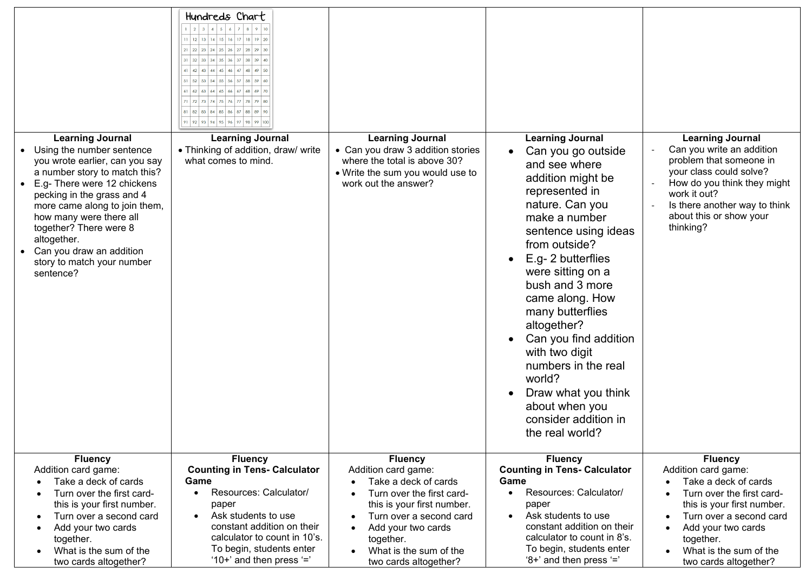| <b>Learning Journal</b><br>Using the number sentence<br>you wrote earlier, can you say<br>a number story to match this?<br>E.g- There were 12 chickens<br>pecking in the grass and 4<br>more came along to join them,<br>how many were there all<br>together? There were 8<br>altogether.<br>Can you draw an addition<br>story to match your number<br>sentence? | Hundreds Chart<br>$2$ $3$ $4$ $5$ $6$ $7$ $8$ $9$ 10<br>  12   13   14   15   16   17   18   19   20<br>21 22 23 24 25 26 27 28 29 30<br>$32$ 33 34 35 36 37 38 39 40<br>41 42 43 44 45 46 47 48 49 50<br> 52 53 54 55 56 57 58 59 60<br>$62$ 63 64 65 66 67 68 69 70<br>72 73 74 75 76 77 78 79 80<br>$\boxed{81}$ $\boxed{82}$ $\boxed{83}$ $\boxed{84}$ $\boxed{85}$ $\boxed{86}$ $\boxed{87}$ $\boxed{88}$ $\boxed{89}$ $\boxed{90}$<br>91 92 93 94 95 96 97 98 99 100<br><b>Learning Journal</b><br>• Thinking of addition, draw/ write<br>what comes to mind. | <b>Learning Journal</b><br>• Can you draw 3 addition stories<br>where the total is above 30?<br>• Write the sum you would use to<br>work out the answer?                                                                                                                         | <b>Learning Journal</b><br>Can you go outside<br>and see where<br>addition might be<br>represented in<br>nature. Can you<br>make a number<br>sentence using ideas<br>from outside?<br>E.g- 2 butterflies<br>were sitting on a<br>bush and 3 more<br>came along. How<br>many butterflies<br>altogether?<br>Can you find addition<br>with two digit<br>numbers in the real<br>world?<br>Draw what you think<br>about when you<br>consider addition in<br>the real world? | <b>Learning Journal</b><br>Can you write an addition<br>problem that someone in<br>your class could solve?<br>How do you think they might<br>work it out?<br>Is there another way to think<br>about this or show your<br>thinking?                     |
|------------------------------------------------------------------------------------------------------------------------------------------------------------------------------------------------------------------------------------------------------------------------------------------------------------------------------------------------------------------|---------------------------------------------------------------------------------------------------------------------------------------------------------------------------------------------------------------------------------------------------------------------------------------------------------------------------------------------------------------------------------------------------------------------------------------------------------------------------------------------------------------------------------------------------------------------|----------------------------------------------------------------------------------------------------------------------------------------------------------------------------------------------------------------------------------------------------------------------------------|------------------------------------------------------------------------------------------------------------------------------------------------------------------------------------------------------------------------------------------------------------------------------------------------------------------------------------------------------------------------------------------------------------------------------------------------------------------------|--------------------------------------------------------------------------------------------------------------------------------------------------------------------------------------------------------------------------------------------------------|
| <b>Fluency</b><br>Addition card game:<br>Take a deck of cards<br>Turn over the first card-<br>this is your first number.<br>Turn over a second card<br>Add your two cards<br>together.<br>What is the sum of the<br>$\bullet$<br>two cards altogether?                                                                                                           | <b>Fluency</b><br><b>Counting in Tens- Calculator</b><br>Game<br>Resources: Calculator/<br>$\bullet$<br>paper<br>Ask students to use<br>$\bullet$<br>constant addition on their<br>calculator to count in 10's.<br>To begin, students enter<br>'10+' and then press $'=$ '                                                                                                                                                                                                                                                                                          | <b>Fluency</b><br>Addition card game:<br>Take a deck of cards<br>$\bullet$<br>Turn over the first card-<br>this is your first number.<br>Turn over a second card<br>Add your two cards<br>$\bullet$<br>together.<br>What is the sum of the<br>$\bullet$<br>two cards altogether? | <b>Fluency</b><br><b>Counting in Tens- Calculator</b><br>Game<br>Resources: Calculator/<br>$\bullet$<br>paper<br>Ask students to use<br>$\bullet$<br>constant addition on their<br>calculator to count in 8's.<br>To begin, students enter<br>'8+' and then press '='                                                                                                                                                                                                  | <b>Fluency</b><br>Addition card game:<br>Take a deck of cards<br>Turn over the first card-<br>this is your first number.<br>Turn over a second card<br>Add your two cards<br>together.<br>What is the sum of the<br>$\bullet$<br>two cards altogether? |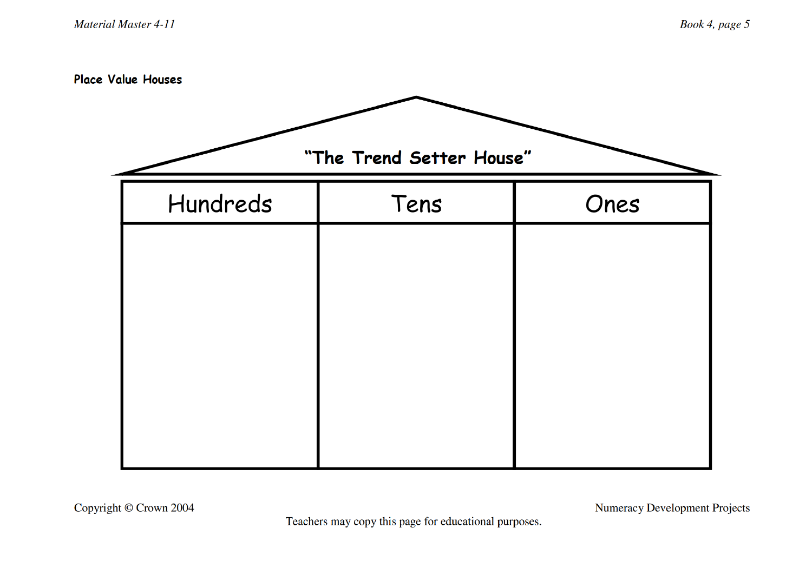Place Value Houses

| "The Trend Setter House" |      |  |  |  |  |  |  |
|--------------------------|------|--|--|--|--|--|--|
| Tens                     | Ones |  |  |  |  |  |  |
|                          |      |  |  |  |  |  |  |
|                          |      |  |  |  |  |  |  |
|                          |      |  |  |  |  |  |  |
|                          |      |  |  |  |  |  |  |
|                          |      |  |  |  |  |  |  |
|                          |      |  |  |  |  |  |  |

**Numeracy Development Projects** 

Teachers may copy this page for educational purposes.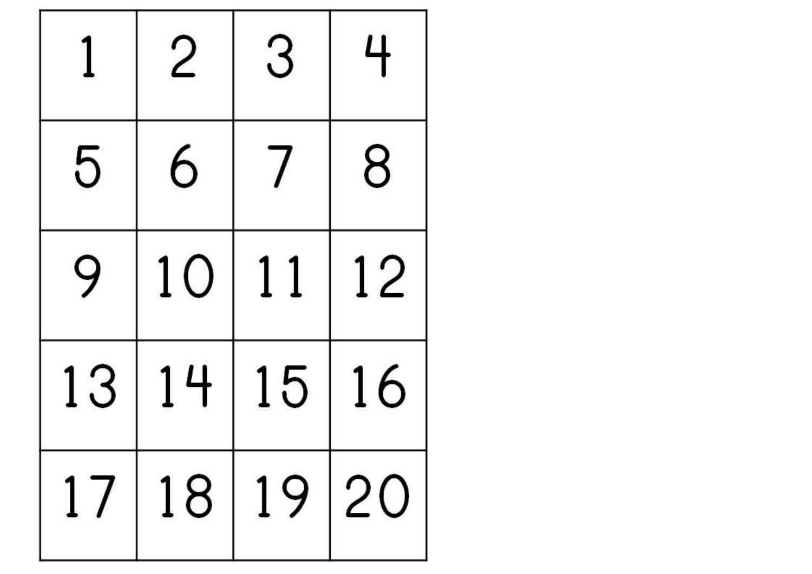|    |    | З           | 4  |
|----|----|-------------|----|
| 5  | 6  |             | 8  |
| 9  | 10 | 11          | 12 |
| 13 | 14 | 15          | 16 |
|    |    | 17 18 19 20 |    |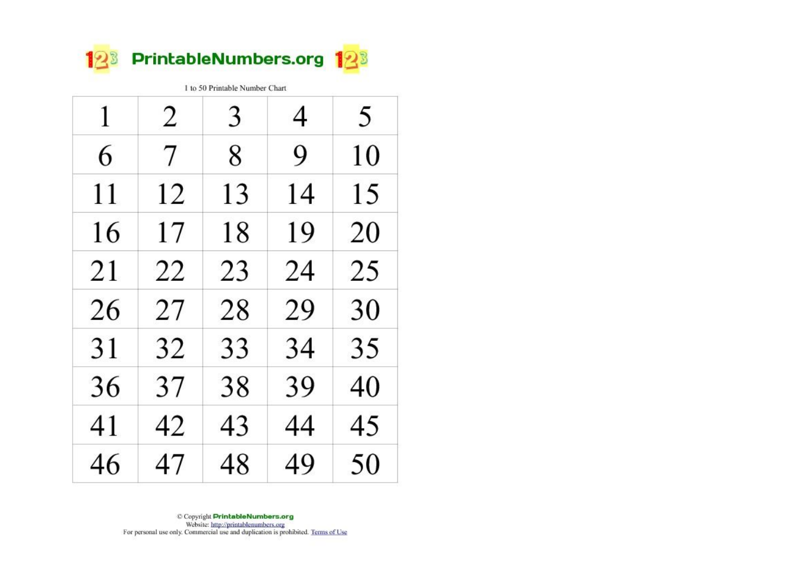

1 to 50 Printable Number Chart

| 1  | 2  | 3  | 4  | 5  |
|----|----|----|----|----|
| 6  | 7  | 8  | 9  | 10 |
| 11 | 12 | 13 | 14 | 15 |
| 16 | 17 | 18 | 19 | 20 |
| 21 | 22 | 23 | 24 | 25 |
| 26 | 27 | 28 | 29 | 30 |
| 31 | 32 | 33 | 34 | 35 |
| 36 | 37 | 38 | 39 | 40 |
| 41 | 42 | 43 | 44 | 45 |
| 46 | 47 | 48 | 49 | 50 |